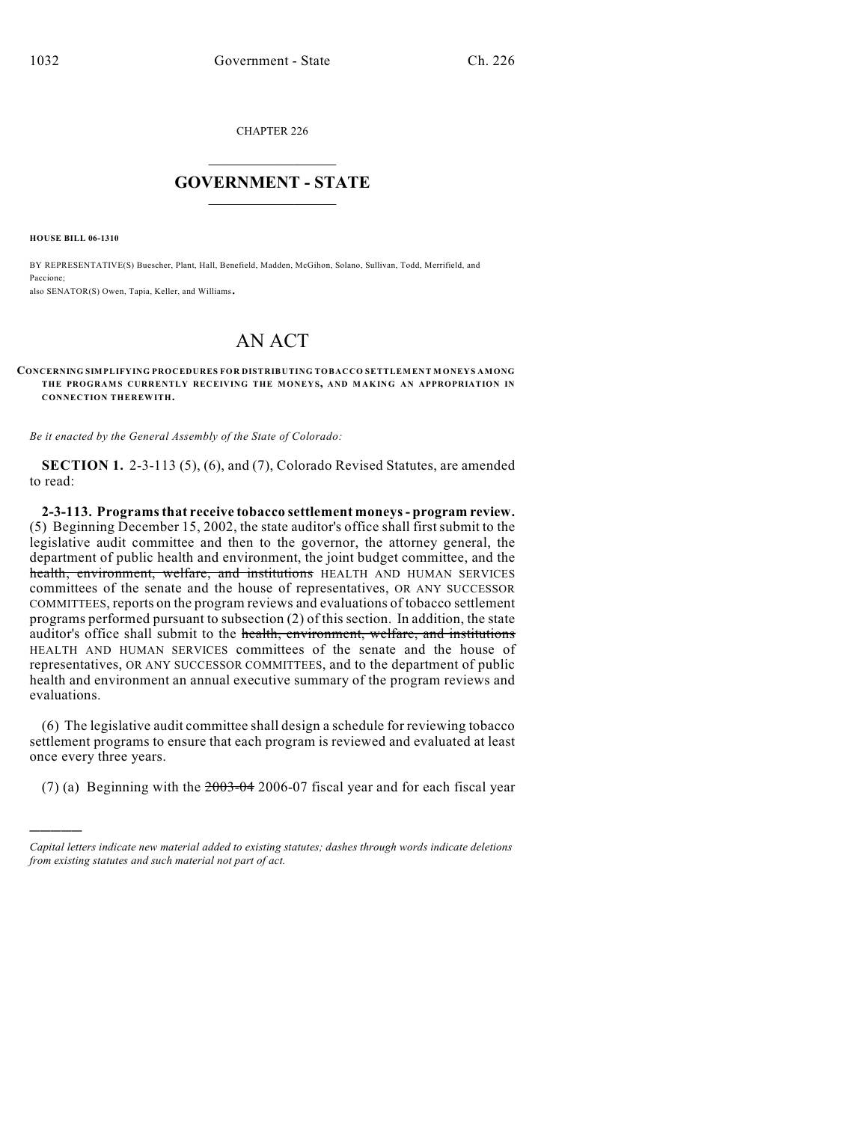CHAPTER 226

## $\mathcal{L}_\text{max}$  . The set of the set of the set of the set of the set of the set of the set of the set of the set of the set of the set of the set of the set of the set of the set of the set of the set of the set of the set **GOVERNMENT - STATE**  $\_$   $\_$   $\_$   $\_$   $\_$   $\_$   $\_$   $\_$

**HOUSE BILL 06-1310**

)))))

BY REPRESENTATIVE(S) Buescher, Plant, Hall, Benefield, Madden, McGihon, Solano, Sullivan, Todd, Merrifield, and Paccione;

also SENATOR(S) Owen, Tapia, Keller, and Williams.

# AN ACT

#### **CONCERNING SIMPLIFYING PROCEDURES FOR DISTRIBUTING TOBACCO SETTLEMENT M ONEYS AMONG THE PROGRAMS CURRENTLY RECEIVING THE MONEYS, AND M AKING AN APPROPRIATION IN CONNECTION THEREWITH.**

*Be it enacted by the General Assembly of the State of Colorado:*

**SECTION 1.** 2-3-113 (5), (6), and (7), Colorado Revised Statutes, are amended to read:

**2-3-113. Programs that receive tobacco settlement moneys - program review.** (5) Beginning December 15, 2002, the state auditor's office shall firstsubmit to the legislative audit committee and then to the governor, the attorney general, the department of public health and environment, the joint budget committee, and the health, environment, welfare, and institutions HEALTH AND HUMAN SERVICES committees of the senate and the house of representatives, OR ANY SUCCESSOR COMMITTEES, reports on the program reviews and evaluations of tobacco settlement programs performed pursuant to subsection (2) of this section. In addition, the state auditor's office shall submit to the health, environment, welfare, and institutions HEALTH AND HUMAN SERVICES committees of the senate and the house of representatives, OR ANY SUCCESSOR COMMITTEES, and to the department of public health and environment an annual executive summary of the program reviews and evaluations.

(6) The legislative audit committee shall design a schedule for reviewing tobacco settlement programs to ensure that each program is reviewed and evaluated at least once every three years.

(7) (a) Beginning with the  $2003-042006-07$  fiscal year and for each fiscal year

*Capital letters indicate new material added to existing statutes; dashes through words indicate deletions from existing statutes and such material not part of act.*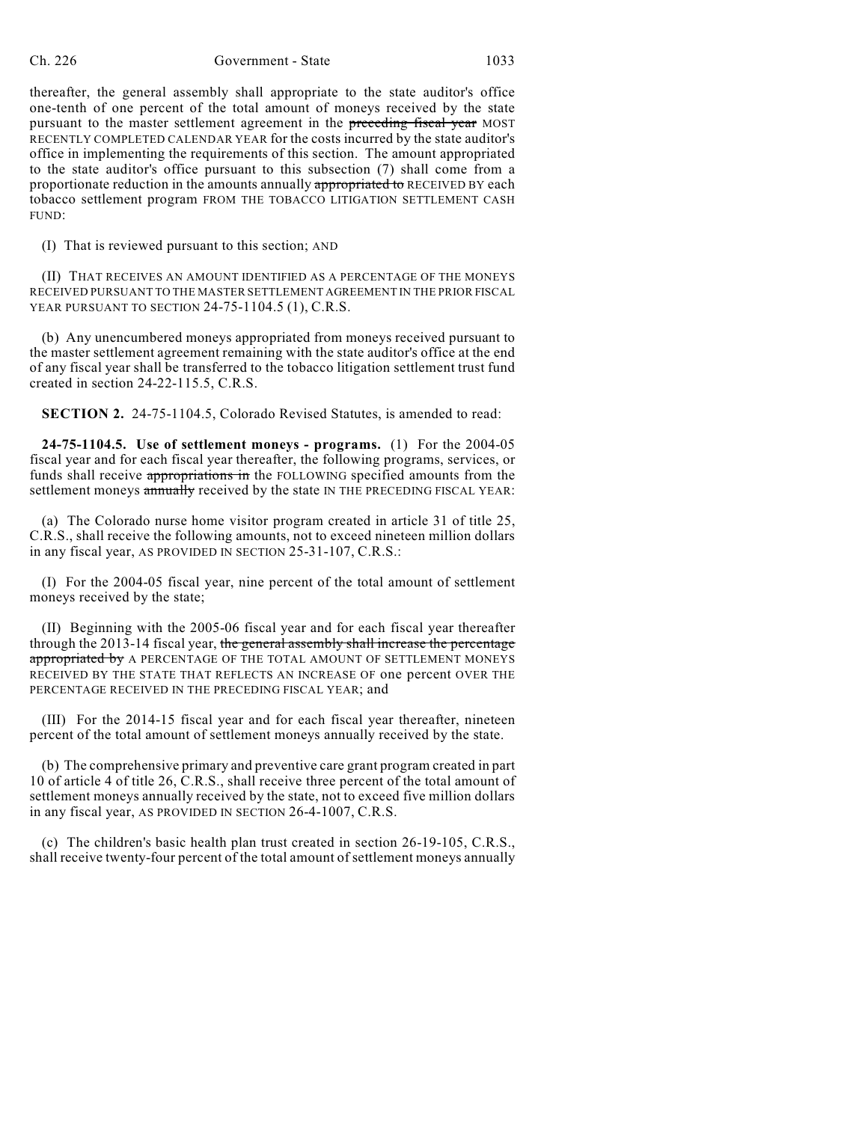thereafter, the general assembly shall appropriate to the state auditor's office one-tenth of one percent of the total amount of moneys received by the state pursuant to the master settlement agreement in the preceding fiscal year MOST RECENTLY COMPLETED CALENDAR YEAR for the costs incurred by the state auditor's office in implementing the requirements of this section. The amount appropriated to the state auditor's office pursuant to this subsection (7) shall come from a proportionate reduction in the amounts annually appropriated to RECEIVED BY each tobacco settlement program FROM THE TOBACCO LITIGATION SETTLEMENT CASH FUND:

(I) That is reviewed pursuant to this section; AND

(II) THAT RECEIVES AN AMOUNT IDENTIFIED AS A PERCENTAGE OF THE MONEYS RECEIVED PURSUANT TO THE MASTER SETTLEMENT AGREEMENT IN THE PRIOR FISCAL YEAR PURSUANT TO SECTION 24-75-1104.5 (1), C.R.S.

(b) Any unencumbered moneys appropriated from moneys received pursuant to the master settlement agreement remaining with the state auditor's office at the end of any fiscal year shall be transferred to the tobacco litigation settlement trust fund created in section 24-22-115.5, C.R.S.

**SECTION 2.** 24-75-1104.5, Colorado Revised Statutes, is amended to read:

**24-75-1104.5. Use of settlement moneys - programs.** (1) For the 2004-05 fiscal year and for each fiscal year thereafter, the following programs, services, or funds shall receive appropriations in the FOLLOWING specified amounts from the settlement moneys annually received by the state IN THE PRECEDING FISCAL YEAR:

(a) The Colorado nurse home visitor program created in article 31 of title 25, C.R.S., shall receive the following amounts, not to exceed nineteen million dollars in any fiscal year, AS PROVIDED IN SECTION 25-31-107, C.R.S.:

(I) For the 2004-05 fiscal year, nine percent of the total amount of settlement moneys received by the state;

(II) Beginning with the 2005-06 fiscal year and for each fiscal year thereafter through the 2013-14 fiscal year, the general assembly shall increase the percentage appropriated by A PERCENTAGE OF THE TOTAL AMOUNT OF SETTLEMENT MONEYS RECEIVED BY THE STATE THAT REFLECTS AN INCREASE OF one percent OVER THE PERCENTAGE RECEIVED IN THE PRECEDING FISCAL YEAR; and

(III) For the 2014-15 fiscal year and for each fiscal year thereafter, nineteen percent of the total amount of settlement moneys annually received by the state.

(b) The comprehensive primary and preventive care grant program created in part 10 of article 4 of title 26, C.R.S., shall receive three percent of the total amount of settlement moneys annually received by the state, not to exceed five million dollars in any fiscal year, AS PROVIDED IN SECTION 26-4-1007, C.R.S.

(c) The children's basic health plan trust created in section 26-19-105, C.R.S., shall receive twenty-four percent of the total amount of settlement moneys annually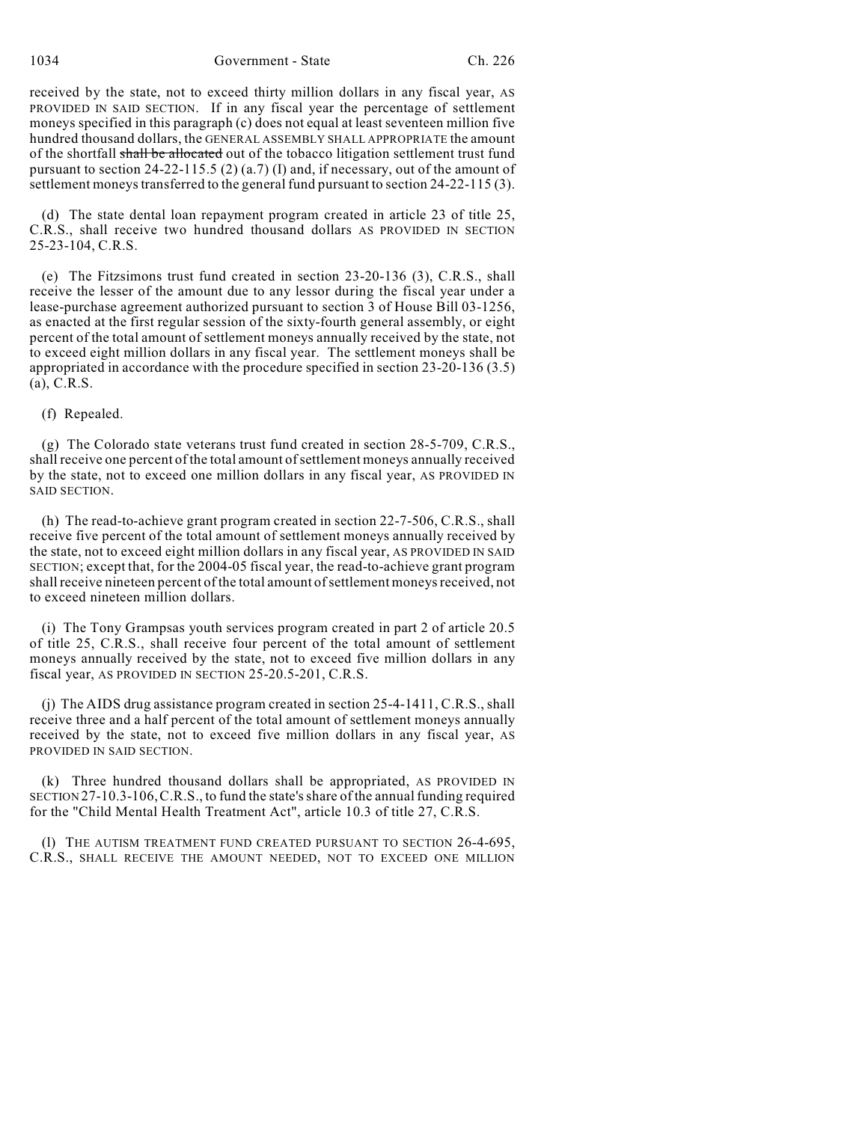1034 Government - State Ch. 226

received by the state, not to exceed thirty million dollars in any fiscal year, AS PROVIDED IN SAID SECTION. If in any fiscal year the percentage of settlement moneys specified in this paragraph (c) does not equal at least seventeen million five hundred thousand dollars, the GENERAL ASSEMBLY SHALL APPROPRIATE the amount of the shortfall shall be allocated out of the tobacco litigation settlement trust fund pursuant to section 24-22-115.5 (2) (a.7) (I) and, if necessary, out of the amount of settlement moneys transferred to the general fund pursuant to section 24-22-115 (3).

(d) The state dental loan repayment program created in article 23 of title 25, C.R.S., shall receive two hundred thousand dollars AS PROVIDED IN SECTION 25-23-104, C.R.S.

(e) The Fitzsimons trust fund created in section 23-20-136 (3), C.R.S., shall receive the lesser of the amount due to any lessor during the fiscal year under a lease-purchase agreement authorized pursuant to section 3 of House Bill 03-1256, as enacted at the first regular session of the sixty-fourth general assembly, or eight percent of the total amount of settlement moneys annually received by the state, not to exceed eight million dollars in any fiscal year. The settlement moneys shall be appropriated in accordance with the procedure specified in section 23-20-136 (3.5) (a), C.R.S.

#### (f) Repealed.

(g) The Colorado state veterans trust fund created in section 28-5-709, C.R.S., shall receive one percent of the total amount of settlement moneys annually received by the state, not to exceed one million dollars in any fiscal year, AS PROVIDED IN SAID SECTION.

(h) The read-to-achieve grant program created in section 22-7-506, C.R.S., shall receive five percent of the total amount of settlement moneys annually received by the state, not to exceed eight million dollars in any fiscal year, AS PROVIDED IN SAID SECTION; except that, for the 2004-05 fiscal year, the read-to-achieve grant program shall receive nineteen percent of the total amount of settlement moneys received, not to exceed nineteen million dollars.

(i) The Tony Grampsas youth services program created in part 2 of article 20.5 of title 25, C.R.S., shall receive four percent of the total amount of settlement moneys annually received by the state, not to exceed five million dollars in any fiscal year, AS PROVIDED IN SECTION 25-20.5-201, C.R.S.

(j) The AIDS drug assistance program created in section 25-4-1411, C.R.S., shall receive three and a half percent of the total amount of settlement moneys annually received by the state, not to exceed five million dollars in any fiscal year, AS PROVIDED IN SAID SECTION.

(k) Three hundred thousand dollars shall be appropriated, AS PROVIDED IN SECTION 27-10.3-106,C.R.S., to fund the state's share of the annual funding required for the "Child Mental Health Treatment Act", article 10.3 of title 27, C.R.S.

(l) THE AUTISM TREATMENT FUND CREATED PURSUANT TO SECTION 26-4-695, C.R.S., SHALL RECEIVE THE AMOUNT NEEDED, NOT TO EXCEED ONE MILLION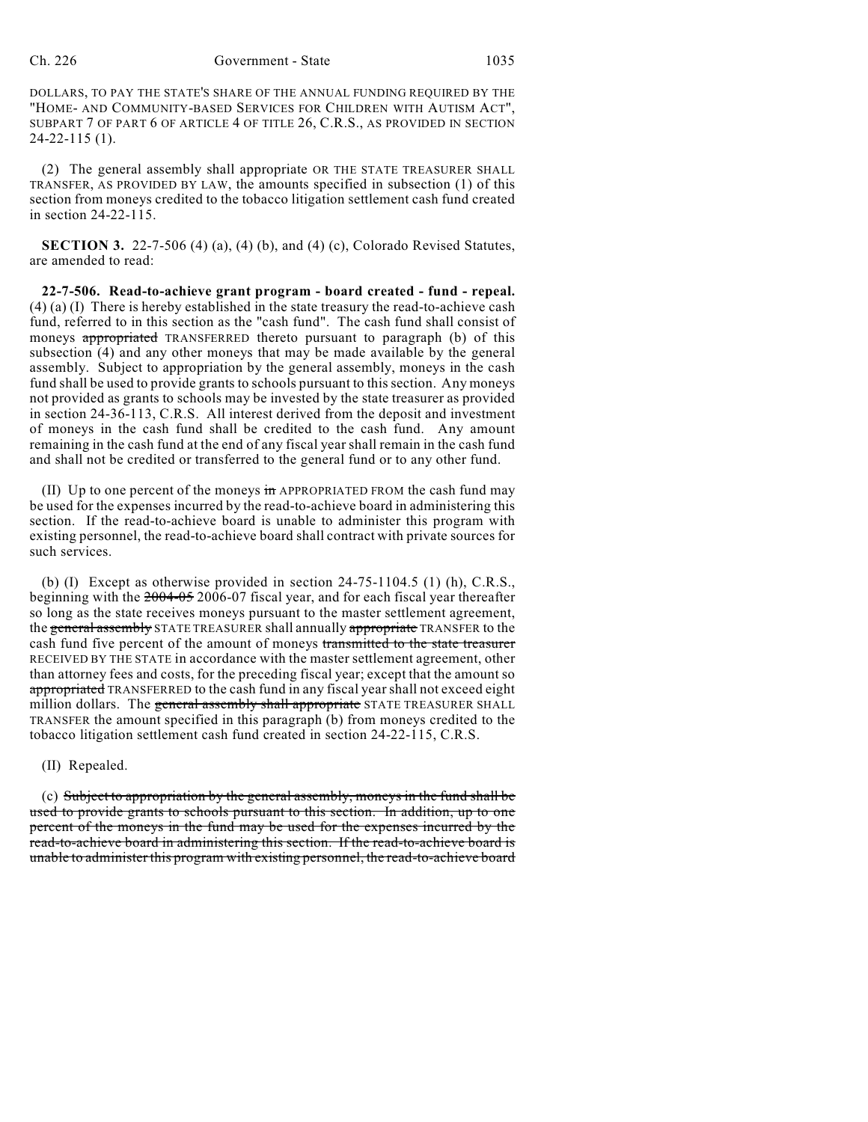DOLLARS, TO PAY THE STATE'S SHARE OF THE ANNUAL FUNDING REQUIRED BY THE "HOME- AND COMMUNITY-BASED SERVICES FOR CHILDREN WITH AUTISM ACT", SUBPART 7 OF PART 6 OF ARTICLE 4 OF TITLE 26, C.R.S., AS PROVIDED IN SECTION 24-22-115 (1).

(2) The general assembly shall appropriate OR THE STATE TREASURER SHALL TRANSFER, AS PROVIDED BY LAW, the amounts specified in subsection (1) of this section from moneys credited to the tobacco litigation settlement cash fund created in section 24-22-115.

**SECTION 3.** 22-7-506 (4) (a), (4) (b), and (4) (c), Colorado Revised Statutes, are amended to read:

**22-7-506. Read-to-achieve grant program - board created - fund - repeal.** (4) (a) (I) There is hereby established in the state treasury the read-to-achieve cash fund, referred to in this section as the "cash fund". The cash fund shall consist of moneys appropriated TRANSFERRED thereto pursuant to paragraph (b) of this subsection (4) and any other moneys that may be made available by the general assembly. Subject to appropriation by the general assembly, moneys in the cash fund shall be used to provide grants to schools pursuant to this section. Any moneys not provided as grants to schools may be invested by the state treasurer as provided in section 24-36-113, C.R.S. All interest derived from the deposit and investment of moneys in the cash fund shall be credited to the cash fund. Any amount remaining in the cash fund at the end of any fiscal year shall remain in the cash fund and shall not be credited or transferred to the general fund or to any other fund.

(II) Up to one percent of the moneys  $\frac{1}{2}$  APPROPRIATED FROM the cash fund may be used for the expenses incurred by the read-to-achieve board in administering this section. If the read-to-achieve board is unable to administer this program with existing personnel, the read-to-achieve board shall contract with private sources for such services.

(b) (I) Except as otherwise provided in section 24-75-1104.5 (1) (h), C.R.S., beginning with the 2004-05 2006-07 fiscal year, and for each fiscal year thereafter so long as the state receives moneys pursuant to the master settlement agreement, the general assembly STATE TREASURER shall annually appropriate TRANSFER to the cash fund five percent of the amount of moneys transmitted to the state treasurer RECEIVED BY THE STATE in accordance with the master settlement agreement, other than attorney fees and costs, for the preceding fiscal year; except that the amount so appropriated TRANSFERRED to the cash fund in any fiscal year shall not exceed eight million dollars. The general assembly shall appropriate STATE TREASURER SHALL TRANSFER the amount specified in this paragraph (b) from moneys credited to the tobacco litigation settlement cash fund created in section 24-22-115, C.R.S.

(II) Repealed.

(c) Subject to appropriation by the general assembly, moneys in the fund shall be used to provide grants to schools pursuant to this section. In addition, up to one percent of the moneys in the fund may be used for the expenses incurred by the read-to-achieve board in administering this section. If the read-to-achieve board is unable to administer this program with existing personnel, the read-to-achieve board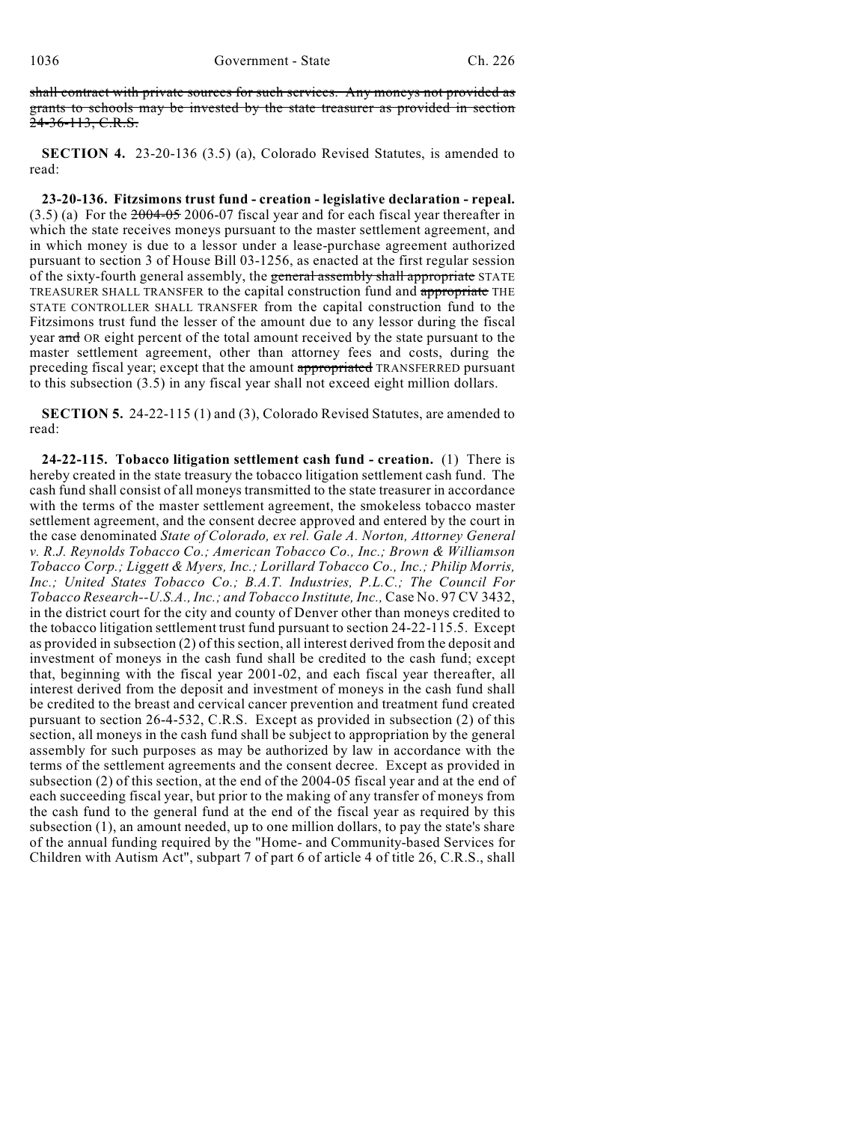shall contract with private sources for such services. Any moneys not provided as grants to schools may be invested by the state treasurer as provided in section 24-36-113, C.R.S.

**SECTION 4.** 23-20-136 (3.5) (a), Colorado Revised Statutes, is amended to read:

**23-20-136. Fitzsimons trust fund - creation - legislative declaration - repeal.**  $(3.5)$  (a) For the  $2004-05$  2006-07 fiscal year and for each fiscal year thereafter in which the state receives moneys pursuant to the master settlement agreement, and in which money is due to a lessor under a lease-purchase agreement authorized pursuant to section 3 of House Bill 03-1256, as enacted at the first regular session of the sixty-fourth general assembly, the general assembly shall appropriate STATE TREASURER SHALL TRANSFER to the capital construction fund and appropriate THE STATE CONTROLLER SHALL TRANSFER from the capital construction fund to the Fitzsimons trust fund the lesser of the amount due to any lessor during the fiscal year and OR eight percent of the total amount received by the state pursuant to the master settlement agreement, other than attorney fees and costs, during the preceding fiscal year; except that the amount appropriated TRANSFERRED pursuant to this subsection (3.5) in any fiscal year shall not exceed eight million dollars.

**SECTION 5.** 24-22-115 (1) and (3), Colorado Revised Statutes, are amended to read:

**24-22-115. Tobacco litigation settlement cash fund - creation.** (1) There is hereby created in the state treasury the tobacco litigation settlement cash fund. The cash fund shall consist of all moneys transmitted to the state treasurer in accordance with the terms of the master settlement agreement, the smokeless tobacco master settlement agreement, and the consent decree approved and entered by the court in the case denominated *State of Colorado, ex rel. Gale A. Norton, Attorney General v. R.J. Reynolds Tobacco Co.; American Tobacco Co., Inc.; Brown & Williamson Tobacco Corp.; Liggett & Myers, Inc.; Lorillard Tobacco Co., Inc.; Philip Morris, Inc.; United States Tobacco Co.; B.A.T. Industries, P.L.C.; The Council For Tobacco Research--U.S.A., Inc.; and Tobacco Institute, Inc.,* Case No. 97 CV 3432, in the district court for the city and county of Denver other than moneys credited to the tobacco litigation settlement trust fund pursuant to section 24-22-115.5. Except as provided in subsection (2) of this section, all interest derived from the deposit and investment of moneys in the cash fund shall be credited to the cash fund; except that, beginning with the fiscal year 2001-02, and each fiscal year thereafter, all interest derived from the deposit and investment of moneys in the cash fund shall be credited to the breast and cervical cancer prevention and treatment fund created pursuant to section 26-4-532, C.R.S. Except as provided in subsection (2) of this section, all moneys in the cash fund shall be subject to appropriation by the general assembly for such purposes as may be authorized by law in accordance with the terms of the settlement agreements and the consent decree. Except as provided in subsection (2) of this section, at the end of the 2004-05 fiscal year and at the end of each succeeding fiscal year, but prior to the making of any transfer of moneys from the cash fund to the general fund at the end of the fiscal year as required by this subsection (1), an amount needed, up to one million dollars, to pay the state's share of the annual funding required by the "Home- and Community-based Services for Children with Autism Act", subpart 7 of part 6 of article 4 of title 26, C.R.S., shall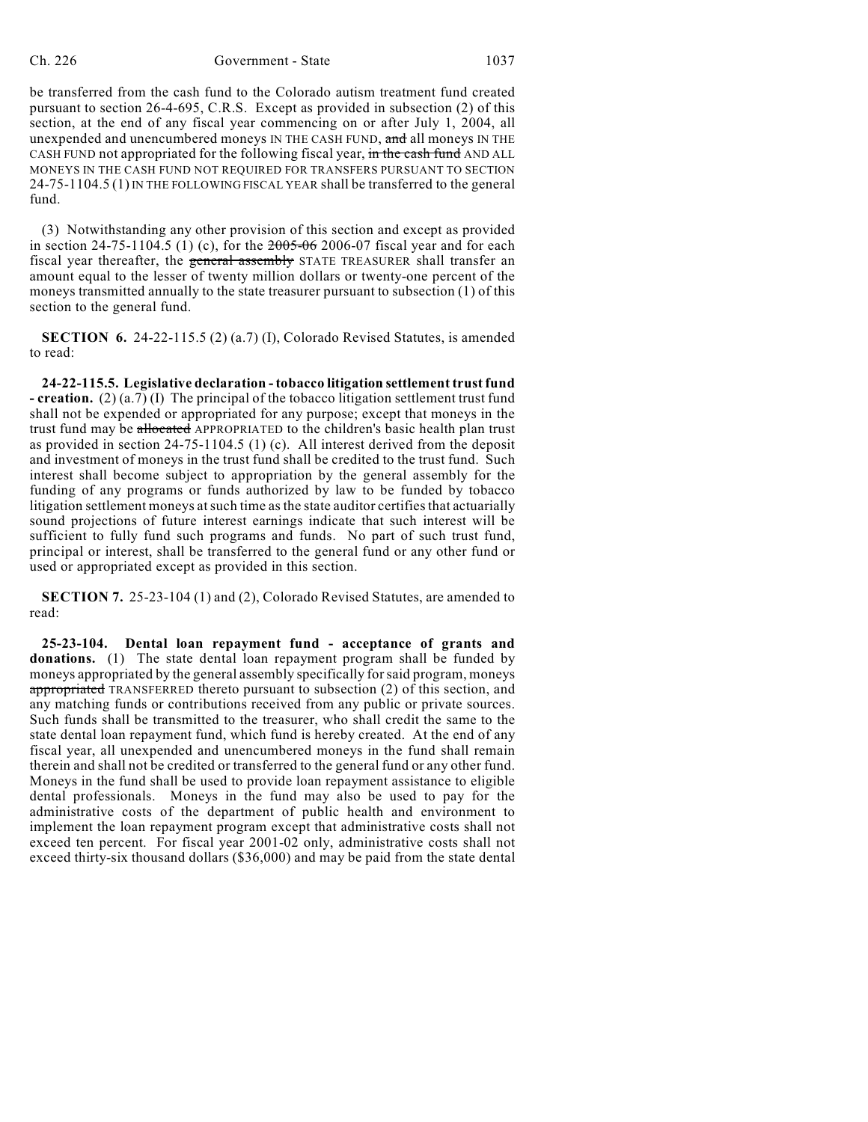#### Ch. 226 Government - State 1037

be transferred from the cash fund to the Colorado autism treatment fund created pursuant to section 26-4-695, C.R.S. Except as provided in subsection (2) of this section, at the end of any fiscal year commencing on or after July 1, 2004, all unexpended and unencumbered moneys IN THE CASH FUND, and all moneys IN THE CASH FUND not appropriated for the following fiscal year, in the cash fund AND ALL MONEYS IN THE CASH FUND NOT REQUIRED FOR TRANSFERS PURSUANT TO SECTION 24-75-1104.5 (1) IN THE FOLLOWING FISCAL YEAR shall be transferred to the general fund.

(3) Notwithstanding any other provision of this section and except as provided in section 24-75-1104.5 (1) (c), for the  $2005-06$  2006-07 fiscal year and for each fiscal year thereafter, the general assembly STATE TREASURER shall transfer an amount equal to the lesser of twenty million dollars or twenty-one percent of the moneys transmitted annually to the state treasurer pursuant to subsection (1) of this section to the general fund.

**SECTION 6.** 24-22-115.5 (2) (a.7) (I), Colorado Revised Statutes, is amended to read:

**24-22-115.5. Legislative declaration - tobacco litigation settlement trust fund - creation.** (2) (a.7) (I) The principal of the tobacco litigation settlement trust fund shall not be expended or appropriated for any purpose; except that moneys in the trust fund may be allocated APPROPRIATED to the children's basic health plan trust as provided in section 24-75-1104.5 (1) (c). All interest derived from the deposit and investment of moneys in the trust fund shall be credited to the trust fund. Such interest shall become subject to appropriation by the general assembly for the funding of any programs or funds authorized by law to be funded by tobacco litigation settlement moneys at such time as the state auditor certifies that actuarially sound projections of future interest earnings indicate that such interest will be sufficient to fully fund such programs and funds. No part of such trust fund, principal or interest, shall be transferred to the general fund or any other fund or used or appropriated except as provided in this section.

**SECTION 7.** 25-23-104 (1) and (2), Colorado Revised Statutes, are amended to read:

**25-23-104. Dental loan repayment fund - acceptance of grants and donations.** (1) The state dental loan repayment program shall be funded by moneys appropriated by the general assembly specifically forsaid program, moneys appropriated TRANSFERRED thereto pursuant to subsection (2) of this section, and any matching funds or contributions received from any public or private sources. Such funds shall be transmitted to the treasurer, who shall credit the same to the state dental loan repayment fund, which fund is hereby created. At the end of any fiscal year, all unexpended and unencumbered moneys in the fund shall remain therein and shall not be credited or transferred to the general fund or any other fund. Moneys in the fund shall be used to provide loan repayment assistance to eligible dental professionals. Moneys in the fund may also be used to pay for the administrative costs of the department of public health and environment to implement the loan repayment program except that administrative costs shall not exceed ten percent. For fiscal year 2001-02 only, administrative costs shall not exceed thirty-six thousand dollars (\$36,000) and may be paid from the state dental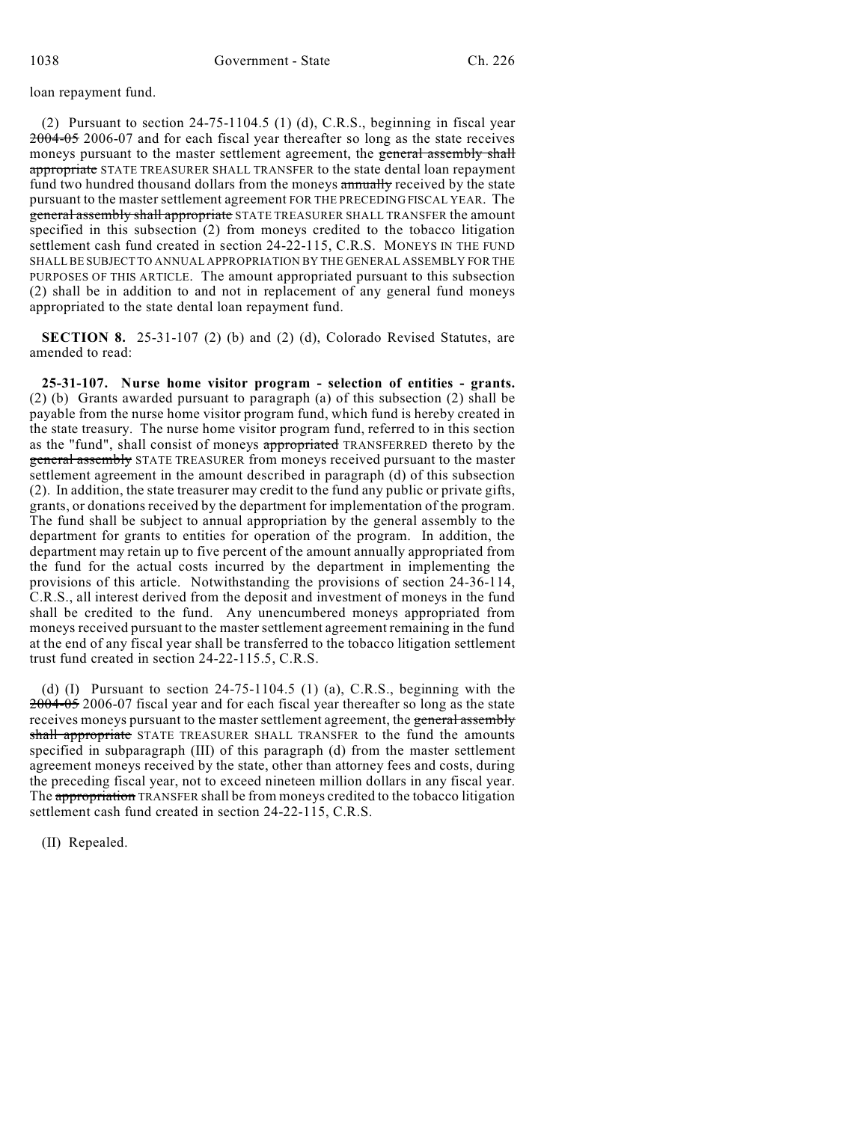### loan repayment fund.

(2) Pursuant to section 24-75-1104.5 (1) (d), C.R.S., beginning in fiscal year 2004-05 2006-07 and for each fiscal year thereafter so long as the state receives moneys pursuant to the master settlement agreement, the general assembly shall appropriate STATE TREASURER SHALL TRANSFER to the state dental loan repayment fund two hundred thousand dollars from the moneys annually received by the state pursuant to the master settlement agreement FOR THE PRECEDING FISCAL YEAR. The general assembly shall appropriate STATE TREASURER SHALL TRANSFER the amount specified in this subsection (2) from moneys credited to the tobacco litigation settlement cash fund created in section 24-22-115, C.R.S. MONEYS IN THE FUND SHALL BE SUBJECT TO ANNUAL APPROPRIATION BY THE GENERAL ASSEMBLY FOR THE PURPOSES OF THIS ARTICLE. The amount appropriated pursuant to this subsection (2) shall be in addition to and not in replacement of any general fund moneys appropriated to the state dental loan repayment fund.

**SECTION 8.** 25-31-107 (2) (b) and (2) (d), Colorado Revised Statutes, are amended to read:

**25-31-107. Nurse home visitor program - selection of entities - grants.** (2) (b) Grants awarded pursuant to paragraph (a) of this subsection (2) shall be payable from the nurse home visitor program fund, which fund is hereby created in the state treasury. The nurse home visitor program fund, referred to in this section as the "fund", shall consist of moneys appropriated TRANSFERRED thereto by the general assembly STATE TREASURER from moneys received pursuant to the master settlement agreement in the amount described in paragraph (d) of this subsection (2). In addition, the state treasurer may credit to the fund any public or private gifts, grants, or donations received by the department for implementation of the program. The fund shall be subject to annual appropriation by the general assembly to the department for grants to entities for operation of the program. In addition, the department may retain up to five percent of the amount annually appropriated from the fund for the actual costs incurred by the department in implementing the provisions of this article. Notwithstanding the provisions of section 24-36-114, C.R.S., all interest derived from the deposit and investment of moneys in the fund shall be credited to the fund. Any unencumbered moneys appropriated from moneys received pursuant to the master settlement agreement remaining in the fund at the end of any fiscal year shall be transferred to the tobacco litigation settlement trust fund created in section 24-22-115.5, C.R.S.

(d)  $(I)$  Pursuant to section 24-75-1104.5  $(I)$   $(a)$ , C.R.S., beginning with the 2004-05 2006-07 fiscal year and for each fiscal year thereafter so long as the state receives moneys pursuant to the master settlement agreement, the general assembly shall appropriate STATE TREASURER SHALL TRANSFER to the fund the amounts specified in subparagraph (III) of this paragraph (d) from the master settlement agreement moneys received by the state, other than attorney fees and costs, during the preceding fiscal year, not to exceed nineteen million dollars in any fiscal year. The appropriation TRANSFER shall be from moneys credited to the tobacco litigation settlement cash fund created in section 24-22-115, C.R.S.

(II) Repealed.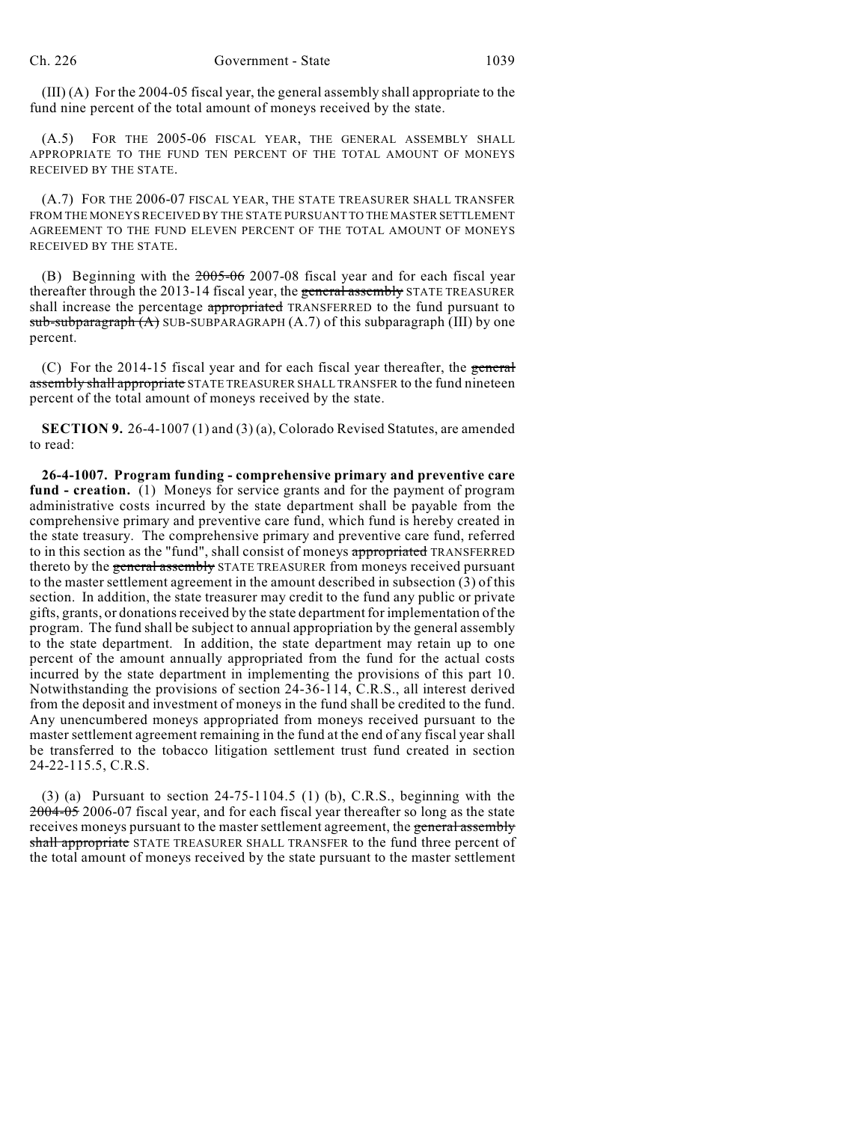(III) (A) For the 2004-05 fiscal year, the general assembly shall appropriate to the fund nine percent of the total amount of moneys received by the state.

(A.5) FOR THE 2005-06 FISCAL YEAR, THE GENERAL ASSEMBLY SHALL APPROPRIATE TO THE FUND TEN PERCENT OF THE TOTAL AMOUNT OF MONEYS RECEIVED BY THE STATE.

(A.7) FOR THE 2006-07 FISCAL YEAR, THE STATE TREASURER SHALL TRANSFER FROM THE MONEYS RECEIVED BY THE STATE PURSUANT TO THE MASTER SETTLEMENT AGREEMENT TO THE FUND ELEVEN PERCENT OF THE TOTAL AMOUNT OF MONEYS RECEIVED BY THE STATE.

(B) Beginning with the 2005-06 2007-08 fiscal year and for each fiscal year thereafter through the 2013-14 fiscal year, the general assembly STATE TREASURER shall increase the percentage appropriated TRANSFERRED to the fund pursuant to  $sub-sub-<sub>graph</sub>(A)$  SUB-SUBPARAGRAPH (A.7) of this subparagraph (III) by one percent.

(C) For the 2014-15 fiscal year and for each fiscal year thereafter, the general assembly shall appropriate STATE TREASURER SHALL TRANSFER to the fund nineteen percent of the total amount of moneys received by the state.

**SECTION 9.** 26-4-1007 (1) and (3) (a), Colorado Revised Statutes, are amended to read:

**26-4-1007. Program funding - comprehensive primary and preventive care fund - creation.** (1) Moneys for service grants and for the payment of program administrative costs incurred by the state department shall be payable from the comprehensive primary and preventive care fund, which fund is hereby created in the state treasury. The comprehensive primary and preventive care fund, referred to in this section as the "fund", shall consist of moneys appropriated TRANSFERRED thereto by the general assembly STATE TREASURER from moneys received pursuant to the master settlement agreement in the amount described in subsection (3) of this section. In addition, the state treasurer may credit to the fund any public or private gifts, grants, or donations received by the state departmentfor implementation of the program. The fund shall be subject to annual appropriation by the general assembly to the state department. In addition, the state department may retain up to one percent of the amount annually appropriated from the fund for the actual costs incurred by the state department in implementing the provisions of this part 10. Notwithstanding the provisions of section 24-36-114, C.R.S., all interest derived from the deposit and investment of moneys in the fund shall be credited to the fund. Any unencumbered moneys appropriated from moneys received pursuant to the master settlement agreement remaining in the fund at the end of any fiscal year shall be transferred to the tobacco litigation settlement trust fund created in section 24-22-115.5, C.R.S.

 $(3)$  (a) Pursuant to section 24-75-1104.5 (1) (b), C.R.S., beginning with the 2004-05 2006-07 fiscal year, and for each fiscal year thereafter so long as the state receives moneys pursuant to the master settlement agreement, the general assembly shall appropriate STATE TREASURER SHALL TRANSFER to the fund three percent of the total amount of moneys received by the state pursuant to the master settlement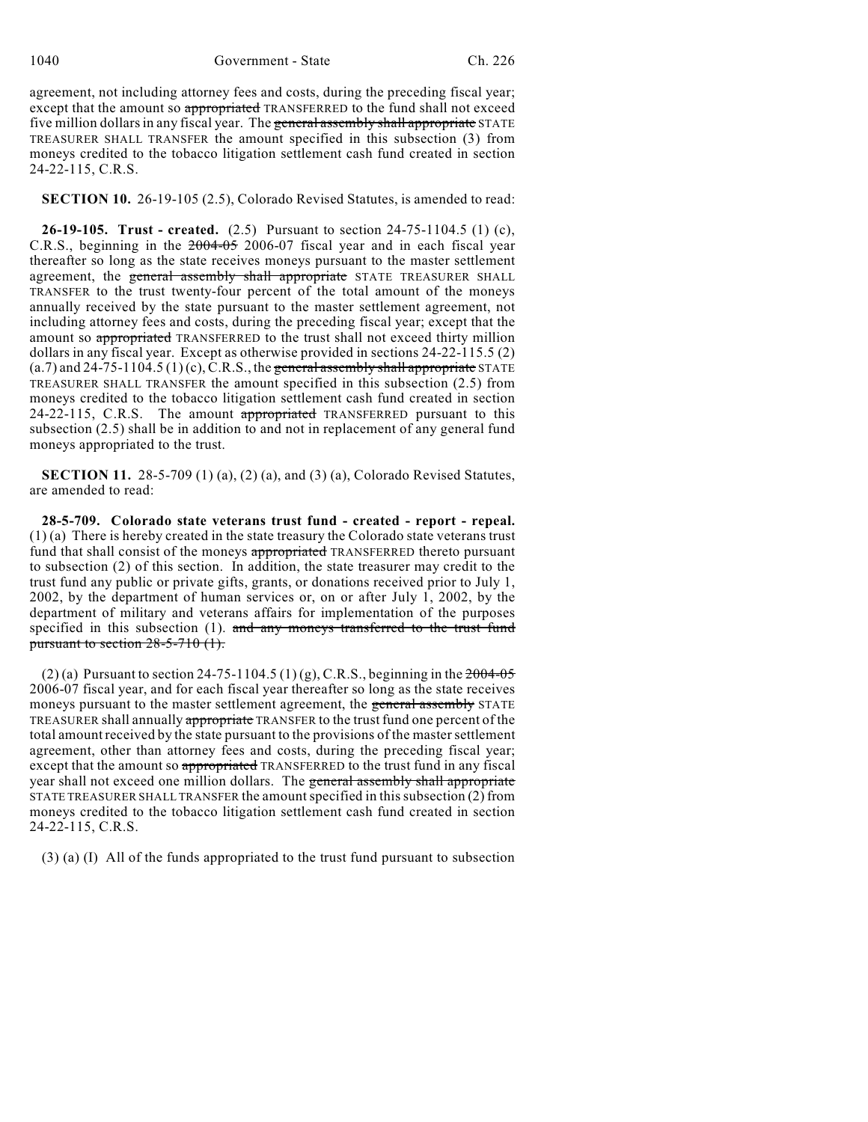agreement, not including attorney fees and costs, during the preceding fiscal year; except that the amount so appropriated TRANSFERRED to the fund shall not exceed five million dollars in any fiscal year. The general assembly shall appropriate STATE TREASURER SHALL TRANSFER the amount specified in this subsection (3) from moneys credited to the tobacco litigation settlement cash fund created in section 24-22-115, C.R.S.

**SECTION 10.** 26-19-105 (2.5), Colorado Revised Statutes, is amended to read:

**26-19-105. Trust - created.** (2.5) Pursuant to section 24-75-1104.5 (1) (c), C.R.S., beginning in the 2004-05 2006-07 fiscal year and in each fiscal year thereafter so long as the state receives moneys pursuant to the master settlement agreement, the general assembly shall appropriate STATE TREASURER SHALL TRANSFER to the trust twenty-four percent of the total amount of the moneys annually received by the state pursuant to the master settlement agreement, not including attorney fees and costs, during the preceding fiscal year; except that the amount so appropriated TRANSFERRED to the trust shall not exceed thirty million dollars in any fiscal year. Except as otherwise provided in sections 24-22-115.5 (2)  $(a.7)$  and  $24-75-1104.5 (1)(c)$ , C.R.S., the general assembly shall appropriate STATE TREASURER SHALL TRANSFER the amount specified in this subsection (2.5) from moneys credited to the tobacco litigation settlement cash fund created in section 24-22-115, C.R.S. The amount appropriated TRANSFERRED pursuant to this subsection (2.5) shall be in addition to and not in replacement of any general fund moneys appropriated to the trust.

**SECTION 11.** 28-5-709 (1) (a), (2) (a), and (3) (a), Colorado Revised Statutes, are amended to read:

**28-5-709. Colorado state veterans trust fund - created - report - repeal.** (1) (a) There is hereby created in the state treasury the Colorado state veterans trust fund that shall consist of the moneys appropriated TRANSFERRED thereto pursuant to subsection (2) of this section. In addition, the state treasurer may credit to the trust fund any public or private gifts, grants, or donations received prior to July 1, 2002, by the department of human services or, on or after July 1, 2002, by the department of military and veterans affairs for implementation of the purposes specified in this subsection (1). and any moneys transferred to the trust fund pursuant to section 28-5-710 (1).

(2) (a) Pursuant to section 24-75-1104.5 (1) (g), C.R.S., beginning in the  $2004-05$ 2006-07 fiscal year, and for each fiscal year thereafter so long as the state receives moneys pursuant to the master settlement agreement, the general assembly STATE TREASURER shall annually appropriate TRANSFER to the trust fund one percent of the total amountreceived by the state pursuant to the provisions of the master settlement agreement, other than attorney fees and costs, during the preceding fiscal year; except that the amount so appropriated TRANSFERRED to the trust fund in any fiscal year shall not exceed one million dollars. The general assembly shall appropriate STATE TREASURER SHALL TRANSFER the amount specified in this subsection (2) from moneys credited to the tobacco litigation settlement cash fund created in section 24-22-115, C.R.S.

(3) (a) (I) All of the funds appropriated to the trust fund pursuant to subsection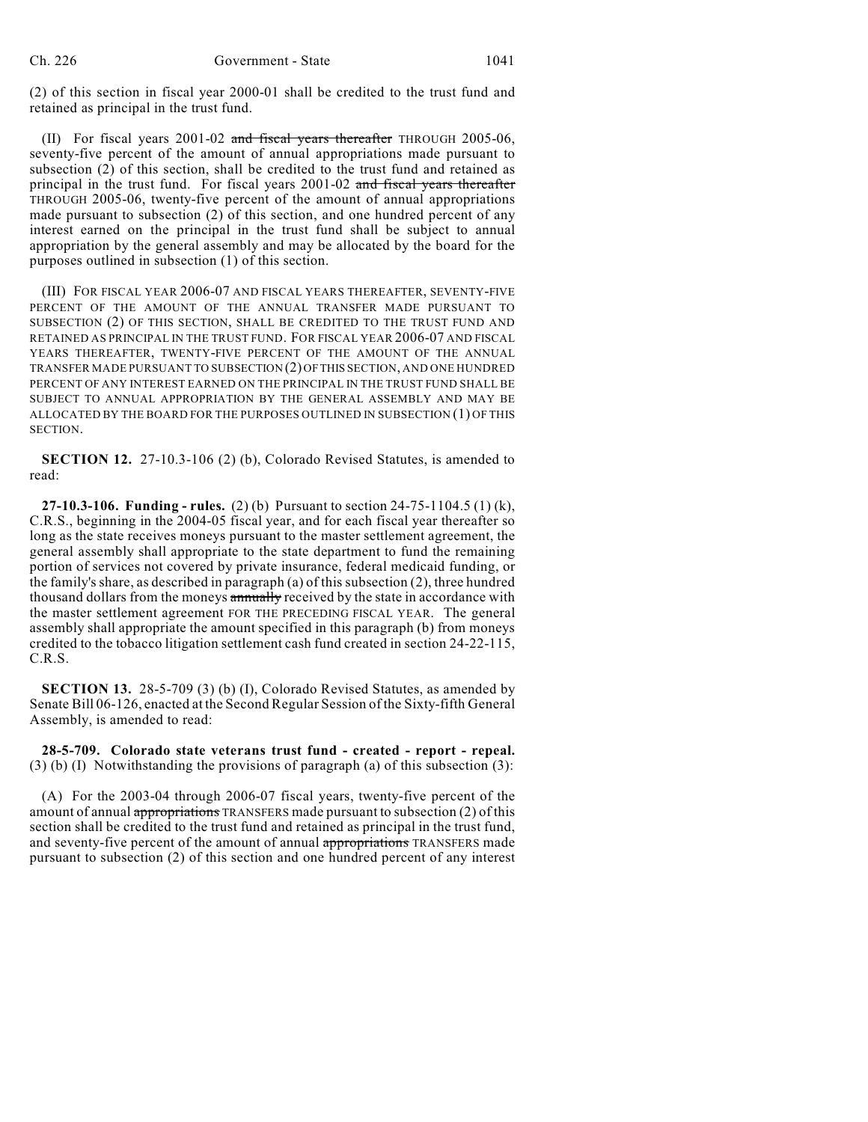(2) of this section in fiscal year 2000-01 shall be credited to the trust fund and retained as principal in the trust fund.

(II) For fiscal years 2001-02 and fiscal years thereafter THROUGH 2005-06, seventy-five percent of the amount of annual appropriations made pursuant to subsection (2) of this section, shall be credited to the trust fund and retained as principal in the trust fund. For fiscal years 2001-02 and fiscal years thereafter THROUGH 2005-06, twenty-five percent of the amount of annual appropriations made pursuant to subsection (2) of this section, and one hundred percent of any interest earned on the principal in the trust fund shall be subject to annual appropriation by the general assembly and may be allocated by the board for the purposes outlined in subsection (1) of this section.

(III) FOR FISCAL YEAR 2006-07 AND FISCAL YEARS THEREAFTER, SEVENTY-FIVE PERCENT OF THE AMOUNT OF THE ANNUAL TRANSFER MADE PURSUANT TO SUBSECTION (2) OF THIS SECTION, SHALL BE CREDITED TO THE TRUST FUND AND RETAINED AS PRINCIPAL IN THE TRUST FUND. FOR FISCAL YEAR 2006-07 AND FISCAL YEARS THEREAFTER, TWENTY-FIVE PERCENT OF THE AMOUNT OF THE ANNUAL TRANSFER MADE PURSUANT TO SUBSECTION (2) OF THIS SECTION, AND ONE HUNDRED PERCENT OF ANY INTEREST EARNED ON THE PRINCIPAL IN THE TRUST FUND SHALL BE SUBJECT TO ANNUAL APPROPRIATION BY THE GENERAL ASSEMBLY AND MAY BE ALLOCATED BY THE BOARD FOR THE PURPOSES OUTLINED IN SUBSECTION (1) OF THIS SECTION.

**SECTION 12.** 27-10.3-106 (2) (b), Colorado Revised Statutes, is amended to read:

**27-10.3-106. Funding - rules.** (2) (b) Pursuant to section 24-75-1104.5 (1) (k), C.R.S., beginning in the 2004-05 fiscal year, and for each fiscal year thereafter so long as the state receives moneys pursuant to the master settlement agreement, the general assembly shall appropriate to the state department to fund the remaining portion of services not covered by private insurance, federal medicaid funding, or the family's share, as described in paragraph (a) of this subsection (2), three hundred thousand dollars from the moneys annually received by the state in accordance with the master settlement agreement FOR THE PRECEDING FISCAL YEAR. The general assembly shall appropriate the amount specified in this paragraph (b) from moneys credited to the tobacco litigation settlement cash fund created in section 24-22-115, C.R.S.

**SECTION 13.** 28-5-709 (3) (b) (I), Colorado Revised Statutes, as amended by Senate Bill 06-126, enacted at the Second Regular Session of the Sixty-fifth General Assembly, is amended to read:

**28-5-709. Colorado state veterans trust fund - created - report - repeal.**  $(3)$  (b) (I) Notwithstanding the provisions of paragraph (a) of this subsection (3):

(A) For the 2003-04 through 2006-07 fiscal years, twenty-five percent of the amount of annual appropriations TRANSFERS made pursuant to subsection (2) of this section shall be credited to the trust fund and retained as principal in the trust fund, and seventy-five percent of the amount of annual appropriations TRANSFERS made pursuant to subsection (2) of this section and one hundred percent of any interest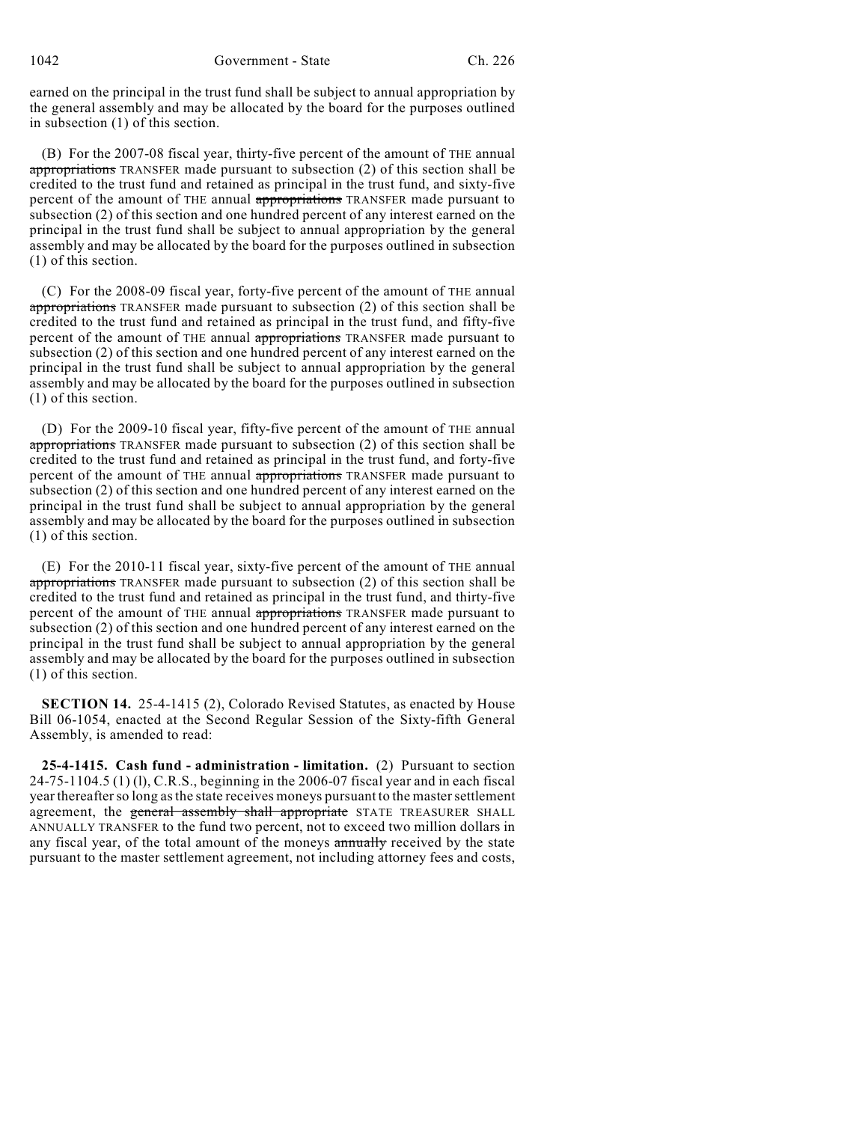earned on the principal in the trust fund shall be subject to annual appropriation by the general assembly and may be allocated by the board for the purposes outlined in subsection (1) of this section.

(B) For the 2007-08 fiscal year, thirty-five percent of the amount of THE annual appropriations TRANSFER made pursuant to subsection (2) of this section shall be credited to the trust fund and retained as principal in the trust fund, and sixty-five percent of the amount of THE annual appropriations TRANSFER made pursuant to subsection (2) of this section and one hundred percent of any interest earned on the principal in the trust fund shall be subject to annual appropriation by the general assembly and may be allocated by the board for the purposes outlined in subsection (1) of this section.

(C) For the 2008-09 fiscal year, forty-five percent of the amount of THE annual appropriations TRANSFER made pursuant to subsection (2) of this section shall be credited to the trust fund and retained as principal in the trust fund, and fifty-five percent of the amount of THE annual appropriations TRANSFER made pursuant to subsection (2) of this section and one hundred percent of any interest earned on the principal in the trust fund shall be subject to annual appropriation by the general assembly and may be allocated by the board for the purposes outlined in subsection (1) of this section.

(D) For the 2009-10 fiscal year, fifty-five percent of the amount of THE annual appropriations TRANSFER made pursuant to subsection (2) of this section shall be credited to the trust fund and retained as principal in the trust fund, and forty-five percent of the amount of THE annual appropriations TRANSFER made pursuant to subsection (2) of this section and one hundred percent of any interest earned on the principal in the trust fund shall be subject to annual appropriation by the general assembly and may be allocated by the board for the purposes outlined in subsection (1) of this section.

(E) For the 2010-11 fiscal year, sixty-five percent of the amount of THE annual appropriations TRANSFER made pursuant to subsection (2) of this section shall be credited to the trust fund and retained as principal in the trust fund, and thirty-five percent of the amount of THE annual appropriations TRANSFER made pursuant to subsection (2) of this section and one hundred percent of any interest earned on the principal in the trust fund shall be subject to annual appropriation by the general assembly and may be allocated by the board for the purposes outlined in subsection (1) of this section.

**SECTION 14.** 25-4-1415 (2), Colorado Revised Statutes, as enacted by House Bill 06-1054, enacted at the Second Regular Session of the Sixty-fifth General Assembly, is amended to read:

**25-4-1415. Cash fund - administration - limitation.** (2) Pursuant to section 24-75-1104.5 (1) (l), C.R.S., beginning in the 2006-07 fiscal year and in each fiscal year thereafter so long as the state receives moneys pursuant to the master settlement agreement, the general assembly shall appropriate STATE TREASURER SHALL ANNUALLY TRANSFER to the fund two percent, not to exceed two million dollars in any fiscal year, of the total amount of the moneys annually received by the state pursuant to the master settlement agreement, not including attorney fees and costs,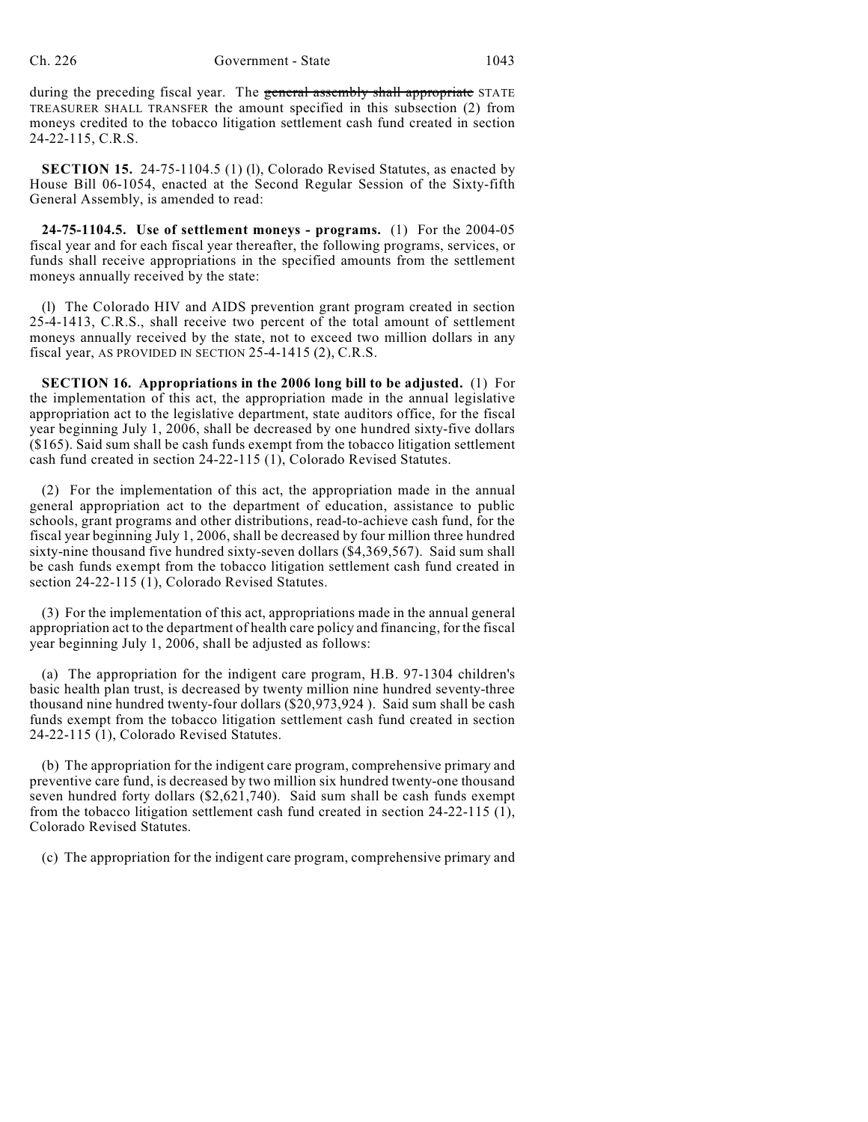during the preceding fiscal year. The general assembly shall appropriate STATE TREASURER SHALL TRANSFER the amount specified in this subsection (2) from moneys credited to the tobacco litigation settlement cash fund created in section 24-22-115, C.R.S.

**SECTION 15.** 24-75-1104.5 (1) (l), Colorado Revised Statutes, as enacted by House Bill 06-1054, enacted at the Second Regular Session of the Sixty-fifth General Assembly, is amended to read:

**24-75-1104.5. Use of settlement moneys - programs.** (1) For the 2004-05 fiscal year and for each fiscal year thereafter, the following programs, services, or funds shall receive appropriations in the specified amounts from the settlement moneys annually received by the state:

(l) The Colorado HIV and AIDS prevention grant program created in section 25-4-1413, C.R.S., shall receive two percent of the total amount of settlement moneys annually received by the state, not to exceed two million dollars in any fiscal year, AS PROVIDED IN SECTION 25-4-1415 (2), C.R.S.

**SECTION 16. Appropriations in the 2006 long bill to be adjusted.** (1) For the implementation of this act, the appropriation made in the annual legislative appropriation act to the legislative department, state auditors office, for the fiscal year beginning July 1, 2006, shall be decreased by one hundred sixty-five dollars (\$165). Said sum shall be cash funds exempt from the tobacco litigation settlement cash fund created in section 24-22-115 (1), Colorado Revised Statutes.

(2) For the implementation of this act, the appropriation made in the annual general appropriation act to the department of education, assistance to public schools, grant programs and other distributions, read-to-achieve cash fund, for the fiscal year beginning July 1, 2006, shall be decreased by four million three hundred sixty-nine thousand five hundred sixty-seven dollars (\$4,369,567). Said sum shall be cash funds exempt from the tobacco litigation settlement cash fund created in section 24-22-115 (1), Colorado Revised Statutes.

(3) For the implementation of this act, appropriations made in the annual general appropriation act to the department of health care policy and financing, for the fiscal year beginning July 1, 2006, shall be adjusted as follows:

(a) The appropriation for the indigent care program, H.B. 97-1304 children's basic health plan trust, is decreased by twenty million nine hundred seventy-three thousand nine hundred twenty-four dollars (\$20,973,924 ). Said sum shall be cash funds exempt from the tobacco litigation settlement cash fund created in section 24-22-115 (1), Colorado Revised Statutes.

(b) The appropriation for the indigent care program, comprehensive primary and preventive care fund, is decreased by two million six hundred twenty-one thousand seven hundred forty dollars (\$2,621,740). Said sum shall be cash funds exempt from the tobacco litigation settlement cash fund created in section 24-22-115 (1), Colorado Revised Statutes.

(c) The appropriation for the indigent care program, comprehensive primary and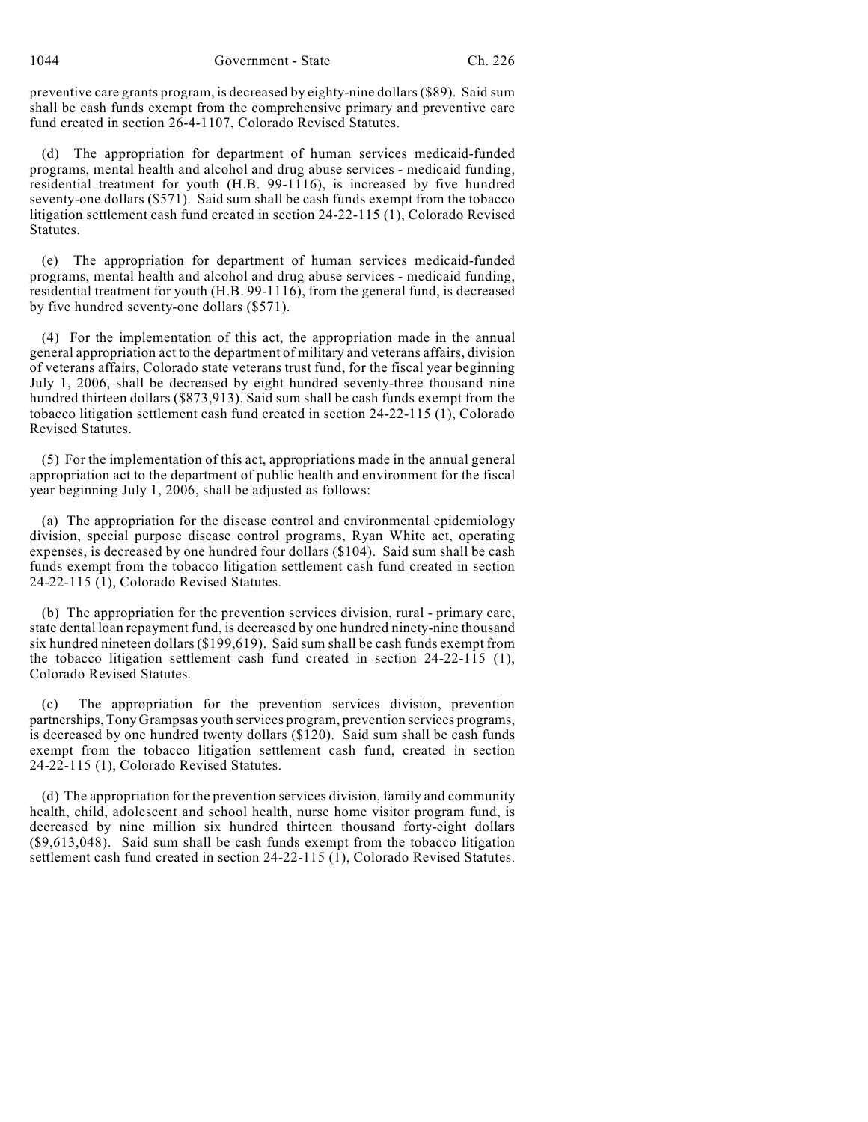preventive care grants program, is decreased by eighty-nine dollars (\$89). Said sum shall be cash funds exempt from the comprehensive primary and preventive care fund created in section 26-4-1107, Colorado Revised Statutes.

(d) The appropriation for department of human services medicaid-funded programs, mental health and alcohol and drug abuse services - medicaid funding, residential treatment for youth (H.B. 99-1116), is increased by five hundred seventy-one dollars (\$571). Said sum shall be cash funds exempt from the tobacco litigation settlement cash fund created in section 24-22-115 (1), Colorado Revised Statutes.

(e) The appropriation for department of human services medicaid-funded programs, mental health and alcohol and drug abuse services - medicaid funding, residential treatment for youth (H.B. 99-1116), from the general fund, is decreased by five hundred seventy-one dollars (\$571).

(4) For the implementation of this act, the appropriation made in the annual general appropriation act to the department of military and veterans affairs, division of veterans affairs, Colorado state veterans trust fund, for the fiscal year beginning July 1, 2006, shall be decreased by eight hundred seventy-three thousand nine hundred thirteen dollars (\$873,913). Said sum shall be cash funds exempt from the tobacco litigation settlement cash fund created in section 24-22-115 (1), Colorado Revised Statutes.

(5) For the implementation of this act, appropriations made in the annual general appropriation act to the department of public health and environment for the fiscal year beginning July 1, 2006, shall be adjusted as follows:

(a) The appropriation for the disease control and environmental epidemiology division, special purpose disease control programs, Ryan White act, operating expenses, is decreased by one hundred four dollars (\$104). Said sum shall be cash funds exempt from the tobacco litigation settlement cash fund created in section 24-22-115 (1), Colorado Revised Statutes.

(b) The appropriation for the prevention services division, rural - primary care, state dental loan repayment fund, is decreased by one hundred ninety-nine thousand six hundred nineteen dollars (\$199,619). Said sum shall be cash funds exempt from the tobacco litigation settlement cash fund created in section 24-22-115 (1), Colorado Revised Statutes.

(c) The appropriation for the prevention services division, prevention partnerships, Tony Grampsas youth services program, prevention services programs, is decreased by one hundred twenty dollars (\$120). Said sum shall be cash funds exempt from the tobacco litigation settlement cash fund, created in section 24-22-115 (1), Colorado Revised Statutes.

(d) The appropriation for the prevention services division, family and community health, child, adolescent and school health, nurse home visitor program fund, is decreased by nine million six hundred thirteen thousand forty-eight dollars (\$9,613,048). Said sum shall be cash funds exempt from the tobacco litigation settlement cash fund created in section 24-22-115 (1), Colorado Revised Statutes.